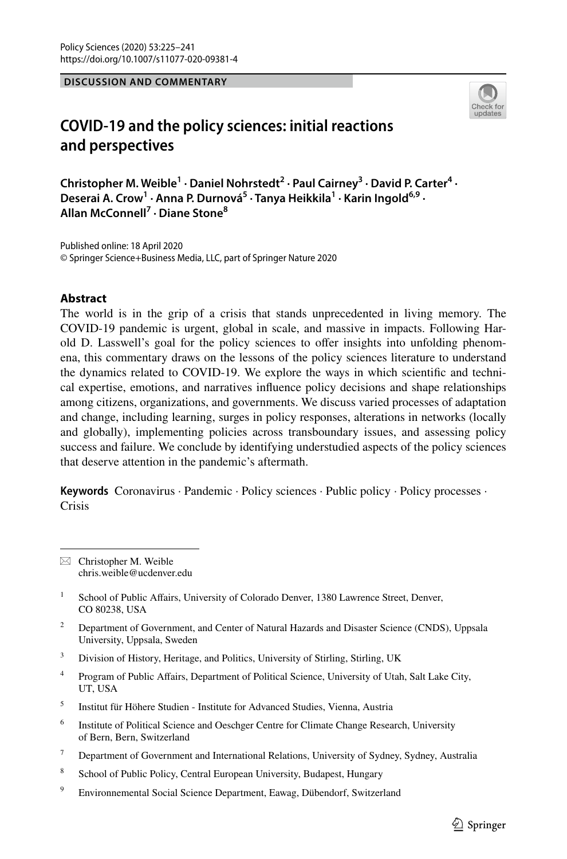**DISCUSSION AND COMMENTARY**



# **COVID‑19 and the policy sciences: initial reactions and perspectives**

Christopher M. Weible<sup>1</sup> · Daniel Nohrstedt<sup>2</sup> · Paul Cairney<sup>3</sup> · David P. Carter<sup>4</sup> · Deserai A. Crow<sup>1</sup> · Anna P. Durnová<sup>5</sup> · Tanya Heikkila<sup>1</sup> · Karin Ingold<sup>6,9</sup> · **Allan McConnell<sup>7</sup> · Diane Stone8**

Published online: 18 April 2020 © Springer Science+Business Media, LLC, part of Springer Nature 2020

## **Abstract**

The world is in the grip of a crisis that stands unprecedented in living memory. The COVID-19 pandemic is urgent, global in scale, and massive in impacts. Following Harold D. Lasswell's goal for the policy sciences to ofer insights into unfolding phenomena, this commentary draws on the lessons of the policy sciences literature to understand the dynamics related to COVID-19. We explore the ways in which scientifc and technical expertise, emotions, and narratives infuence policy decisions and shape relationships among citizens, organizations, and governments. We discuss varied processes of adaptation and change, including learning, surges in policy responses, alterations in networks (locally and globally), implementing policies across transboundary issues, and assessing policy success and failure. We conclude by identifying understudied aspects of the policy sciences that deserve attention in the pandemic's aftermath.

**Keywords** Coronavirus · Pandemic · Policy sciences · Public policy · Policy processes · Crisis

 $\boxtimes$  Christopher M. Weible chris.weible@ucdenver.edu

- <sup>2</sup> Department of Government, and Center of Natural Hazards and Disaster Science (CNDS), Uppsala University, Uppsala, Sweden
- <sup>3</sup> Division of History, Heritage, and Politics, University of Stirling, Stirling, UK
- <sup>4</sup> Program of Public Afairs, Department of Political Science, University of Utah, Salt Lake City, UT, USA
- <sup>5</sup> Institut für Höhere Studien Institute for Advanced Studies, Vienna, Austria
- <sup>6</sup> Institute of Political Science and Oeschger Centre for Climate Change Research, University of Bern, Bern, Switzerland
- <sup>7</sup> Department of Government and International Relations, University of Sydney, Sydney, Australia
- <sup>8</sup> School of Public Policy, Central European University, Budapest, Hungary
- <sup>9</sup> Environnemental Social Science Department, Eawag, Dübendorf, Switzerland

<sup>&</sup>lt;sup>1</sup> School of Public Affairs, University of Colorado Denver, 1380 Lawrence Street, Denver, CO 80238, USA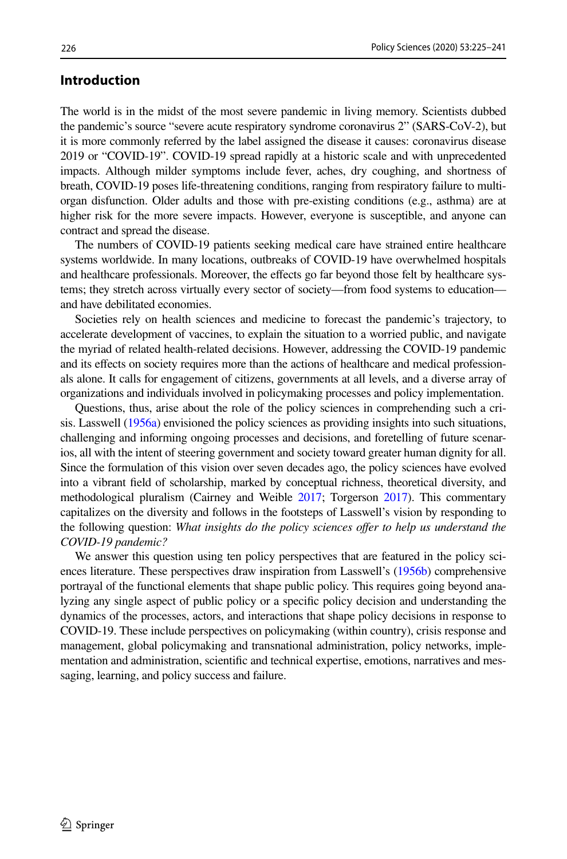# **Introduction**

The world is in the midst of the most severe pandemic in living memory. Scientists dubbed the pandemic's source "severe acute respiratory syndrome coronavirus 2" (SARS-CoV-2), but it is more commonly referred by the label assigned the disease it causes: coronavirus disease 2019 or "COVID-19". COVID-19 spread rapidly at a historic scale and with unprecedented impacts. Although milder symptoms include fever, aches, dry coughing, and shortness of breath, COVID-19 poses life-threatening conditions, ranging from respiratory failure to multiorgan disfunction. Older adults and those with pre-existing conditions (e.g., asthma) are at higher risk for the more severe impacts. However, everyone is susceptible, and anyone can contract and spread the disease.

The numbers of COVID-19 patients seeking medical care have strained entire healthcare systems worldwide. In many locations, outbreaks of COVID-19 have overwhelmed hospitals and healthcare professionals. Moreover, the efects go far beyond those felt by healthcare systems; they stretch across virtually every sector of society—from food systems to education and have debilitated economies.

Societies rely on health sciences and medicine to forecast the pandemic's trajectory, to accelerate development of vaccines, to explain the situation to a worried public, and navigate the myriad of related health-related decisions. However, addressing the COVID-19 pandemic and its efects on society requires more than the actions of healthcare and medical professionals alone. It calls for engagement of citizens, governments at all levels, and a diverse array of organizations and individuals involved in policymaking processes and policy implementation.

Questions, thus, arise about the role of the policy sciences in comprehending such a crisis. Lasswell [\(1956a](#page-15-0)) envisioned the policy sciences as providing insights into such situations, challenging and informing ongoing processes and decisions, and foretelling of future scenarios, all with the intent of steering government and society toward greater human dignity for all. Since the formulation of this vision over seven decades ago, the policy sciences have evolved into a vibrant feld of scholarship, marked by conceptual richness, theoretical diversity, and methodological pluralism (Cairney and Weible [2017;](#page-14-0) Torgerson [2017](#page-16-0)). This commentary capitalizes on the diversity and follows in the footsteps of Lasswell's vision by responding to the following question: *What insights do the policy sciences ofer to help us understand the COVID-19 pandemic?*

We answer this question using ten policy perspectives that are featured in the policy sciences literature. These perspectives draw inspiration from Lasswell's [\(1956b](#page-15-1)) comprehensive portrayal of the functional elements that shape public policy. This requires going beyond analyzing any single aspect of public policy or a specifc policy decision and understanding the dynamics of the processes, actors, and interactions that shape policy decisions in response to COVID-19. These include perspectives on policymaking (within country), crisis response and management, global policymaking and transnational administration, policy networks, implementation and administration, scientifc and technical expertise, emotions, narratives and messaging, learning, and policy success and failure.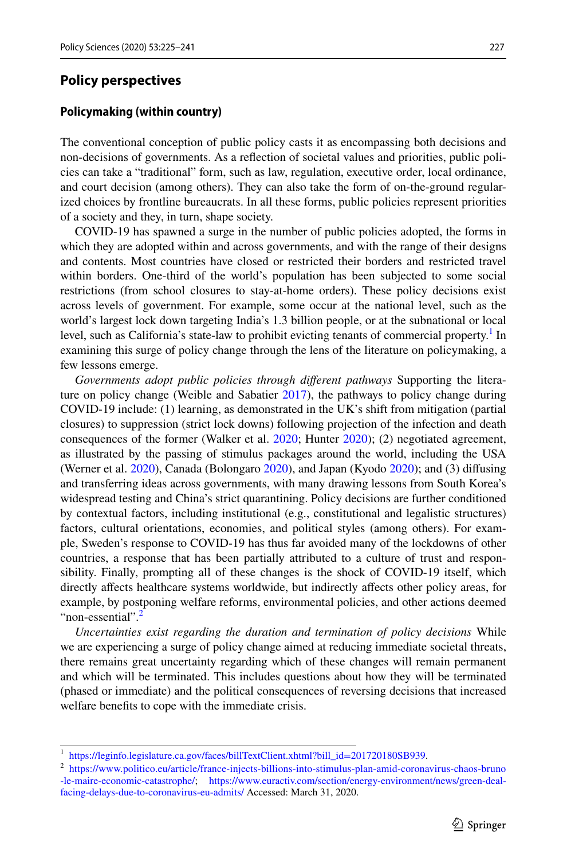## **Policy perspectives**

#### **Policymaking (within country)**

The conventional conception of public policy casts it as encompassing both decisions and non-decisions of governments. As a refection of societal values and priorities, public policies can take a "traditional" form, such as law, regulation, executive order, local ordinance, and court decision (among others). They can also take the form of on-the-ground regularized choices by frontline bureaucrats. In all these forms, public policies represent priorities of a society and they, in turn, shape society.

COVID-19 has spawned a surge in the number of public policies adopted, the forms in which they are adopted within and across governments, and with the range of their designs and contents. Most countries have closed or restricted their borders and restricted travel within borders. One-third of the world's population has been subjected to some social restrictions (from school closures to stay-at-home orders). These policy decisions exist across levels of government. For example, some occur at the national level, such as the world's largest lock down targeting India's 1.3 billion people, or at the subnational or local level, such as California's state-law to prohibit evicting tenants of commercial property.<sup>[1](#page-2-0)</sup> In examining this surge of policy change through the lens of the literature on policymaking, a few lessons emerge.

*Governments adopt public policies through diferent pathways* Supporting the literature on policy change (Weible and Sabatier [2017\)](#page-16-1), the pathways to policy change during COVID-19 include: (1) learning, as demonstrated in the UK's shift from mitigation (partial closures) to suppression (strict lock downs) following projection of the infection and death consequences of the former (Walker et al. [2020;](#page-16-2) Hunter [2020](#page-14-1)); (2) negotiated agreement, as illustrated by the passing of stimulus packages around the world, including the USA (Werner et al. [2020](#page-16-3)), Canada (Bolongaro [2020](#page-14-2)), and Japan (Kyodo [2020](#page-15-2)); and (3) difusing and transferring ideas across governments, with many drawing lessons from South Korea's widespread testing and China's strict quarantining. Policy decisions are further conditioned by contextual factors, including institutional (e.g., constitutional and legalistic structures) factors, cultural orientations, economies, and political styles (among others). For example, Sweden's response to COVID-19 has thus far avoided many of the lockdowns of other countries, a response that has been partially attributed to a culture of trust and responsibility. Finally, prompting all of these changes is the shock of COVID-19 itself, which directly afects healthcare systems worldwide, but indirectly afects other policy areas, for example, by postponing welfare reforms, environmental policies, and other actions deemed "non-essential".<sup>[2](#page-2-1)</sup>

*Uncertainties exist regarding the duration and termination of policy decisions* While we are experiencing a surge of policy change aimed at reducing immediate societal threats, there remains great uncertainty regarding which of these changes will remain permanent and which will be terminated. This includes questions about how they will be terminated (phased or immediate) and the political consequences of reversing decisions that increased welfare benefts to cope with the immediate crisis.

<span id="page-2-0"></span><sup>1</sup> [https://leginfo.legislature.ca.gov/faces/billTextClient.xhtml?bill\\_id=201720180SB939.](https://leginfo.legislature.ca.gov/faces/billTextClient.xhtml?bill_id=201720180SB939)

<span id="page-2-1"></span><sup>2</sup> [https://www.politico.eu/article/france-injects-billions-into-stimulus-plan-amid-coronavirus-chaos-bruno](https://www.politico.eu/article/france-injects-billions-into-stimulus-plan-amid-coronavirus-chaos-bruno-le-maire-economic-catastrophe/) [-le-maire-economic-catastrophe/](https://www.politico.eu/article/france-injects-billions-into-stimulus-plan-amid-coronavirus-chaos-bruno-le-maire-economic-catastrophe/); [https://www.euractiv.com/section/energy-environment/news/green-deal](https://www.euractiv.com/section/energy-environment/news/green-deal-facing-delays-due-to-coronavirus-eu-admits/)[facing-delays-due-to-coronavirus-eu-admits/](https://www.euractiv.com/section/energy-environment/news/green-deal-facing-delays-due-to-coronavirus-eu-admits/) Accessed: March 31, 2020.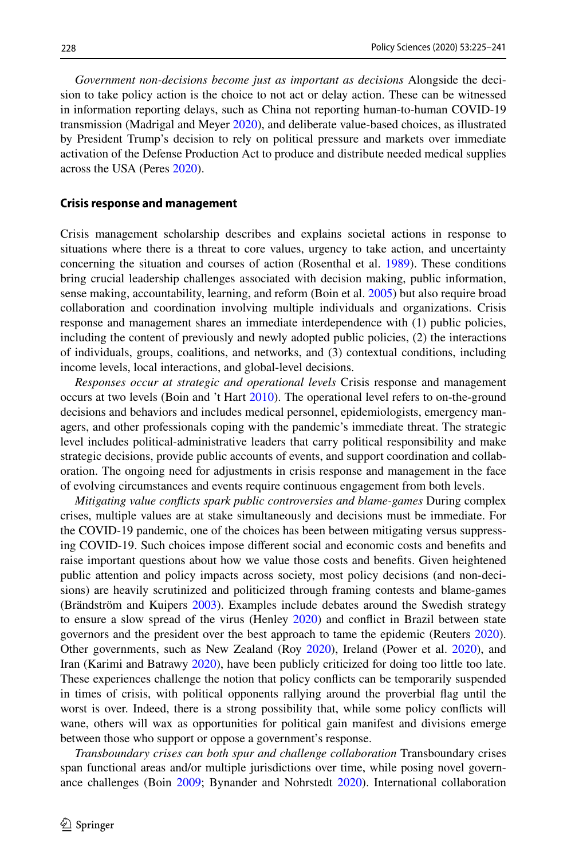*Government non-decisions become just as important as decisions* Alongside the decision to take policy action is the choice to not act or delay action. These can be witnessed in information reporting delays, such as China not reporting human-to-human COVID-19 transmission (Madrigal and Meyer [2020\)](#page-15-3), and deliberate value-based choices, as illustrated by President Trump's decision to rely on political pressure and markets over immediate activation of the Defense Production Act to produce and distribute needed medical supplies across the USA (Peres [2020\)](#page-15-4).

#### **Crisis response and management**

Crisis management scholarship describes and explains societal actions in response to situations where there is a threat to core values, urgency to take action, and uncertainty concerning the situation and courses of action (Rosenthal et al. [1989\)](#page-15-5). These conditions bring crucial leadership challenges associated with decision making, public information, sense making, accountability, learning, and reform (Boin et al. [2005](#page-14-3)) but also require broad collaboration and coordination involving multiple individuals and organizations. Crisis response and management shares an immediate interdependence with (1) public policies, including the content of previously and newly adopted public policies, (2) the interactions of individuals, groups, coalitions, and networks, and (3) contextual conditions, including income levels, local interactions, and global-level decisions.

*Responses occur at strategic and operational levels* Crisis response and management occurs at two levels (Boin and 't Hart [2010](#page-14-4)). The operational level refers to on-the-ground decisions and behaviors and includes medical personnel, epidemiologists, emergency managers, and other professionals coping with the pandemic's immediate threat. The strategic level includes political-administrative leaders that carry political responsibility and make strategic decisions, provide public accounts of events, and support coordination and collaboration. The ongoing need for adjustments in crisis response and management in the face of evolving circumstances and events require continuous engagement from both levels.

*Mitigating value conficts spark public controversies and blame-games* During complex crises, multiple values are at stake simultaneously and decisions must be immediate. For the COVID-19 pandemic, one of the choices has been between mitigating versus suppressing COVID-19. Such choices impose diferent social and economic costs and benefts and raise important questions about how we value those costs and benefts. Given heightened public attention and policy impacts across society, most policy decisions (and non-decisions) are heavily scrutinized and politicized through framing contests and blame-games (Brändström and Kuipers [2003](#page-14-5)). Examples include debates around the Swedish strategy to ensure a slow spread of the virus (Henley [2020](#page-14-6)) and confict in Brazil between state governors and the president over the best approach to tame the epidemic (Reuters [2020](#page-15-6)). Other governments, such as New Zealand (Roy [2020\)](#page-15-7), Ireland (Power et al. [2020\)](#page-15-8), and Iran (Karimi and Batrawy [2020\)](#page-15-9), have been publicly criticized for doing too little too late. These experiences challenge the notion that policy conficts can be temporarily suspended in times of crisis, with political opponents rallying around the proverbial fag until the worst is over. Indeed, there is a strong possibility that, while some policy conficts will wane, others will wax as opportunities for political gain manifest and divisions emerge between those who support or oppose a government's response.

*Transboundary crises can both spur and challenge collaboration* Transboundary crises span functional areas and/or multiple jurisdictions over time, while posing novel governance challenges (Boin [2009;](#page-14-7) Bynander and Nohrstedt [2020\)](#page-14-8). International collaboration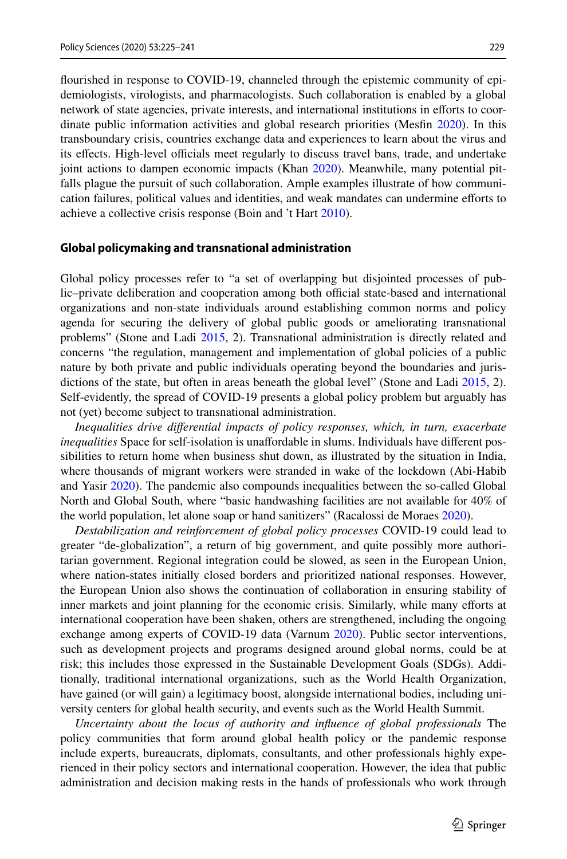fourished in response to COVID-19, channeled through the epistemic community of epidemiologists, virologists, and pharmacologists. Such collaboration is enabled by a global network of state agencies, private interests, and international institutions in eforts to coordinate public information activities and global research priorities (Mesfn [2020](#page-15-10)). In this transboundary crisis, countries exchange data and experiences to learn about the virus and its effects. High-level officials meet regularly to discuss travel bans, trade, and undertake joint actions to dampen economic impacts (Khan [2020](#page-15-11)). Meanwhile, many potential pitfalls plague the pursuit of such collaboration. Ample examples illustrate of how communication failures, political values and identities, and weak mandates can undermine eforts to achieve a collective crisis response (Boin and 't Hart [2010\)](#page-14-4).

#### **Global policymaking and transnational administration**

Global policy processes refer to "a set of overlapping but disjointed processes of public–private deliberation and cooperation among both official state-based and international organizations and non-state individuals around establishing common norms and policy agenda for securing the delivery of global public goods or ameliorating transnational problems" (Stone and Ladi [2015,](#page-16-4) 2). Transnational administration is directly related and concerns "the regulation, management and implementation of global policies of a public nature by both private and public individuals operating beyond the boundaries and jurisdictions of the state, but often in areas beneath the global level" (Stone and Ladi [2015](#page-16-4), 2). Self-evidently, the spread of COVID-19 presents a global policy problem but arguably has not (yet) become subject to transnational administration.

*Inequalities drive diferential impacts of policy responses, which, in turn, exacerbate inequalities* Space for self-isolation is unaffordable in slums. Individuals have different possibilities to return home when business shut down, as illustrated by the situation in India, where thousands of migrant workers were stranded in wake of the lockdown (Abi-Habib and Yasir [2020\)](#page-13-0). The pandemic also compounds inequalities between the so-called Global North and Global South, where "basic handwashing facilities are not available for 40% of the world population, let alone soap or hand sanitizers" (Racalossi de Moraes [2020\)](#page-15-12).

*Destabilization and reinforcement of global policy processes* COVID-19 could lead to greater "de-globalization", a return of big government, and quite possibly more authoritarian government. Regional integration could be slowed, as seen in the European Union, where nation-states initially closed borders and prioritized national responses. However, the European Union also shows the continuation of collaboration in ensuring stability of inner markets and joint planning for the economic crisis. Similarly, while many efforts at international cooperation have been shaken, others are strengthened, including the ongoing exchange among experts of COVID-19 data (Varnum [2020\)](#page-16-5). Public sector interventions, such as development projects and programs designed around global norms, could be at risk; this includes those expressed in the Sustainable Development Goals (SDGs). Additionally, traditional international organizations, such as the World Health Organization, have gained (or will gain) a legitimacy boost, alongside international bodies, including university centers for global health security, and events such as the World Health Summit.

*Uncertainty about the locus of authority and infuence of global professionals* The policy communities that form around global health policy or the pandemic response include experts, bureaucrats, diplomats, consultants, and other professionals highly experienced in their policy sectors and international cooperation. However, the idea that public administration and decision making rests in the hands of professionals who work through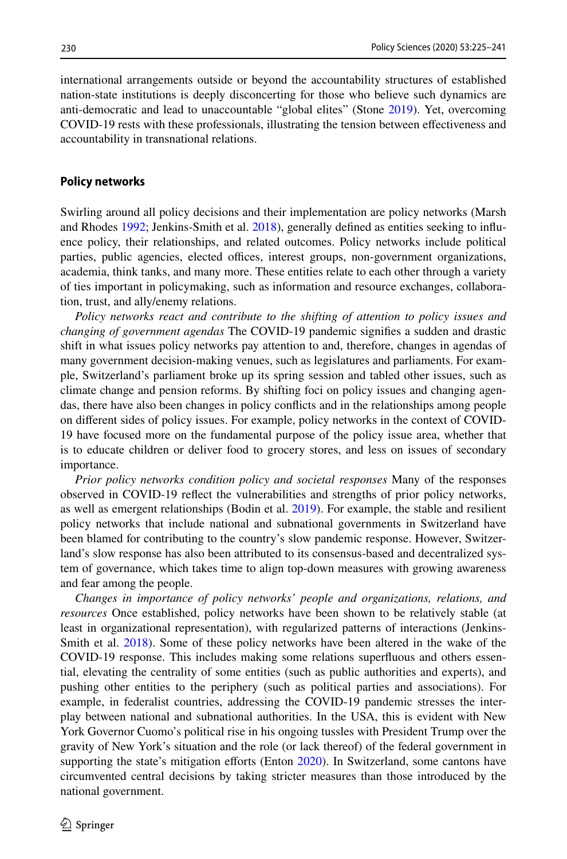international arrangements outside or beyond the accountability structures of established nation-state institutions is deeply disconcerting for those who believe such dynamics are anti-democratic and lead to unaccountable "global elites" (Stone [2019](#page-16-6)). Yet, overcoming COVID-19 rests with these professionals, illustrating the tension between efectiveness and accountability in transnational relations.

#### **Policy networks**

Swirling around all policy decisions and their implementation are policy networks (Marsh and Rhodes [1992;](#page-15-13) Jenkins-Smith et al. [2018\)](#page-14-9), generally defned as entities seeking to infuence policy, their relationships, and related outcomes. Policy networks include political parties, public agencies, elected offices, interest groups, non-government organizations, academia, think tanks, and many more. These entities relate to each other through a variety of ties important in policymaking, such as information and resource exchanges, collaboration, trust, and ally/enemy relations.

*Policy networks react and contribute to the shifting of attention to policy issues and changing of government agendas* The COVID-19 pandemic signifes a sudden and drastic shift in what issues policy networks pay attention to and, therefore, changes in agendas of many government decision-making venues, such as legislatures and parliaments. For example, Switzerland's parliament broke up its spring session and tabled other issues, such as climate change and pension reforms. By shifting foci on policy issues and changing agendas, there have also been changes in policy conficts and in the relationships among people on diferent sides of policy issues. For example, policy networks in the context of COVID-19 have focused more on the fundamental purpose of the policy issue area, whether that is to educate children or deliver food to grocery stores, and less on issues of secondary importance.

*Prior policy networks condition policy and societal responses* Many of the responses observed in COVID-19 refect the vulnerabilities and strengths of prior policy networks, as well as emergent relationships (Bodin et al. [2019](#page-14-10)). For example, the stable and resilient policy networks that include national and subnational governments in Switzerland have been blamed for contributing to the country's slow pandemic response. However, Switzerland's slow response has also been attributed to its consensus-based and decentralized system of governance, which takes time to align top-down measures with growing awareness and fear among the people.

*Changes in importance of policy networks' people and organizations, relations, and resources* Once established, policy networks have been shown to be relatively stable (at least in organizational representation), with regularized patterns of interactions (Jenkins-Smith et al. [2018\)](#page-14-9). Some of these policy networks have been altered in the wake of the COVID-19 response. This includes making some relations superfuous and others essential, elevating the centrality of some entities (such as public authorities and experts), and pushing other entities to the periphery (such as political parties and associations). For example, in federalist countries, addressing the COVID-19 pandemic stresses the interplay between national and subnational authorities. In the USA, this is evident with New York Governor Cuomo's political rise in his ongoing tussles with President Trump over the gravity of New York's situation and the role (or lack thereof) of the federal government in supporting the state's mitigation efforts (Enton [2020\)](#page-14-11). In Switzerland, some cantons have circumvented central decisions by taking stricter measures than those introduced by the national government.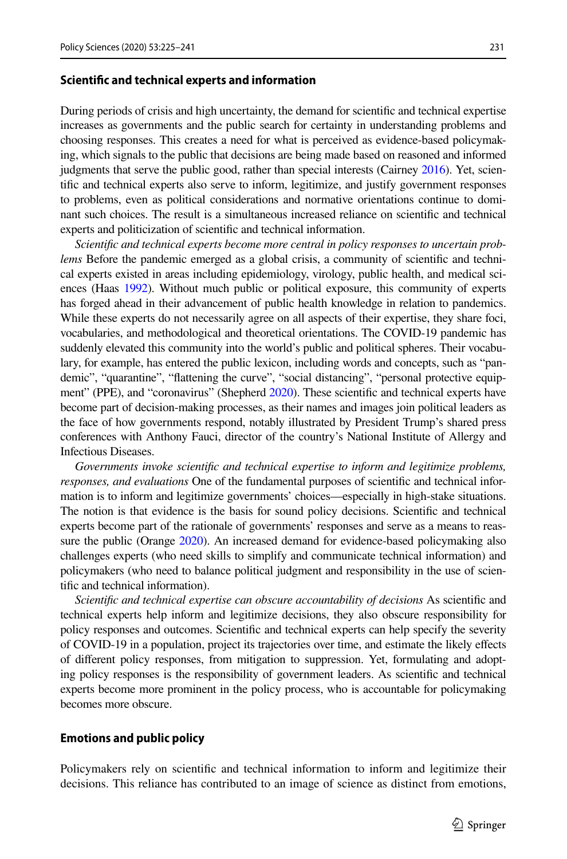#### **Scientifc and technical experts and information**

During periods of crisis and high uncertainty, the demand for scientifc and technical expertise increases as governments and the public search for certainty in understanding problems and choosing responses. This creates a need for what is perceived as evidence-based policymaking, which signals to the public that decisions are being made based on reasoned and informed judgments that serve the public good, rather than special interests (Cairney [2016](#page-14-12)). Yet, scientifc and technical experts also serve to inform, legitimize, and justify government responses to problems, even as political considerations and normative orientations continue to dominant such choices. The result is a simultaneous increased reliance on scientifc and technical experts and politicization of scientifc and technical information.

*Scientifc and technical experts become more central in policy responses to uncertain problems* Before the pandemic emerged as a global crisis, a community of scientific and technical experts existed in areas including epidemiology, virology, public health, and medical sciences (Haas [1992\)](#page-14-13). Without much public or political exposure, this community of experts has forged ahead in their advancement of public health knowledge in relation to pandemics. While these experts do not necessarily agree on all aspects of their expertise, they share foci, vocabularies, and methodological and theoretical orientations. The COVID-19 pandemic has suddenly elevated this community into the world's public and political spheres. Their vocabulary, for example, has entered the public lexicon, including words and concepts, such as "pandemic", "quarantine", "fattening the curve", "social distancing", "personal protective equipment" (PPE), and "coronavirus" (Shepherd [2020](#page-15-14)). These scientifc and technical experts have become part of decision-making processes, as their names and images join political leaders as the face of how governments respond, notably illustrated by President Trump's shared press conferences with Anthony Fauci, director of the country's National Institute of Allergy and Infectious Diseases.

*Governments invoke scientifc and technical expertise to inform and legitimize problems, responses, and evaluations* One of the fundamental purposes of scientifc and technical information is to inform and legitimize governments' choices—especially in high-stake situations. The notion is that evidence is the basis for sound policy decisions. Scientifc and technical experts become part of the rationale of governments' responses and serve as a means to reassure the public (Orange [2020](#page-15-15)). An increased demand for evidence-based policymaking also challenges experts (who need skills to simplify and communicate technical information) and policymakers (who need to balance political judgment and responsibility in the use of scientifc and technical information).

*Scientifc and technical expertise can obscure accountability of decisions* As scientifc and technical experts help inform and legitimize decisions, they also obscure responsibility for policy responses and outcomes. Scientifc and technical experts can help specify the severity of COVID-19 in a population, project its trajectories over time, and estimate the likely efects of diferent policy responses, from mitigation to suppression. Yet, formulating and adopting policy responses is the responsibility of government leaders. As scientifc and technical experts become more prominent in the policy process, who is accountable for policymaking becomes more obscure.

#### **Emotions and public policy**

Policymakers rely on scientifc and technical information to inform and legitimize their decisions. This reliance has contributed to an image of science as distinct from emotions,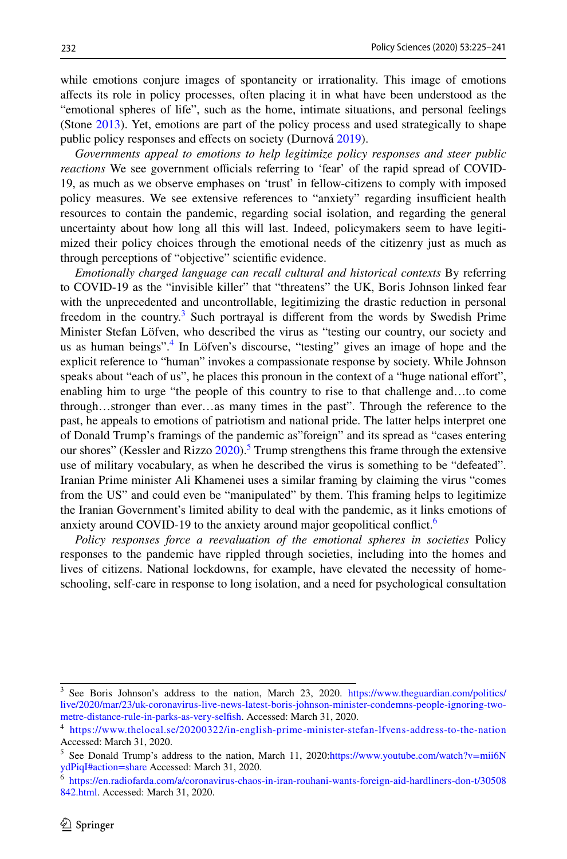while emotions conjure images of spontaneity or irrationality. This image of emotions afects its role in policy processes, often placing it in what have been understood as the "emotional spheres of life", such as the home, intimate situations, and personal feelings (Stone [2013](#page-16-7)). Yet, emotions are part of the policy process and used strategically to shape public policy responses and efects on society (Durnová [2019](#page-14-14)).

*Governments appeal to emotions to help legitimize policy responses and steer public reactions* We see government officials referring to 'fear' of the rapid spread of COVID-19, as much as we observe emphases on 'trust' in fellow-citizens to comply with imposed policy measures. We see extensive references to "anxiety" regarding insufficient health resources to contain the pandemic, regarding social isolation, and regarding the general uncertainty about how long all this will last. Indeed, policymakers seem to have legitimized their policy choices through the emotional needs of the citizenry just as much as through perceptions of "objective" scientifc evidence.

*Emotionally charged language can recall cultural and historical contexts* By referring to COVID-19 as the "invisible killer" that "threatens" the UK, Boris Johnson linked fear with the unprecedented and uncontrollable, legitimizing the drastic reduction in personal freedom in the country.<sup>3</sup> Such portrayal is different from the words by Swedish Prime Minister Stefan Löfven, who described the virus as "testing our country, our society and us as human beings".<sup>[4](#page-7-1)</sup> In Löfven's discourse, "testing" gives an image of hope and the explicit reference to "human" invokes a compassionate response by society. While Johnson speaks about "each of us", he places this pronoun in the context of a "huge national efort", enabling him to urge "the people of this country to rise to that challenge and…to come through…stronger than ever…as many times in the past". Through the reference to the past, he appeals to emotions of patriotism and national pride. The latter helps interpret one of Donald Trump's framings of the pandemic as"foreign" and its spread as "cases entering our shores" (Kessler and Rizzo [2020\)](#page-14-15).<sup>5</sup> Trump strengthens this frame through the extensive use of military vocabulary, as when he described the virus is something to be "defeated". Iranian Prime minister Ali Khamenei uses a similar framing by claiming the virus "comes from the US" and could even be "manipulated" by them. This framing helps to legitimize the Iranian Government's limited ability to deal with the pandemic, as it links emotions of anxiety around COVID-19 to the anxiety around major geopolitical conflict.<sup>[6](#page-7-3)</sup>

*Policy responses force a reevaluation of the emotional spheres in societies* Policy responses to the pandemic have rippled through societies, including into the homes and lives of citizens. National lockdowns, for example, have elevated the necessity of homeschooling, self-care in response to long isolation, and a need for psychological consultation

<span id="page-7-0"></span><sup>&</sup>lt;sup>3</sup> See Boris Johnson's address to the nation, March 23, 2020. [https://www.theguardian.com/politics/](https://www.theguardian.com/politics/live/2020/mar/23/uk-coronavirus-live-news-latest-boris-johnson-minister-condemns-people-ignoring-two-metre-distance-rule-in-parks-as-very-selfish) [live/2020/mar/23/uk-coronavirus-live-news-latest-boris-johnson-minister-condemns-people-ignoring-two](https://www.theguardian.com/politics/live/2020/mar/23/uk-coronavirus-live-news-latest-boris-johnson-minister-condemns-people-ignoring-two-metre-distance-rule-in-parks-as-very-selfish)[metre-distance-rule-in-parks-as-very-selfsh](https://www.theguardian.com/politics/live/2020/mar/23/uk-coronavirus-live-news-latest-boris-johnson-minister-condemns-people-ignoring-two-metre-distance-rule-in-parks-as-very-selfish). Accessed: March 31, 2020.

<span id="page-7-1"></span><sup>4</sup> <https://www.thelocal.se/20200322/in-english-prime-minister-stefan-lfvens-address-to-the-nation> Accessed: March 31, 2020.

<span id="page-7-2"></span><sup>&</sup>lt;sup>5</sup> See Donald Trump's address to the nation, March 11, 2020:[https://www.youtube.com/watch?v=mii6N](https://www.youtube.com/watch?v=mii6NydPiqI#action=share) [ydPiqI#action=share](https://www.youtube.com/watch?v=mii6NydPiqI#action=share) Accessed: March 31, 2020.

<span id="page-7-3"></span><sup>6</sup> [https://en.radiofarda.com/a/coronavirus-chaos-in-iran-rouhani-wants-foreign-aid-hardliners-don-t/30508](https://en.radiofarda.com/a/coronavirus-chaos-in-iran-rouhani-wants-foreign-aid-hardliners-don-t/30508842.html) [842.html](https://en.radiofarda.com/a/coronavirus-chaos-in-iran-rouhani-wants-foreign-aid-hardliners-don-t/30508842.html). Accessed: March 31, 2020.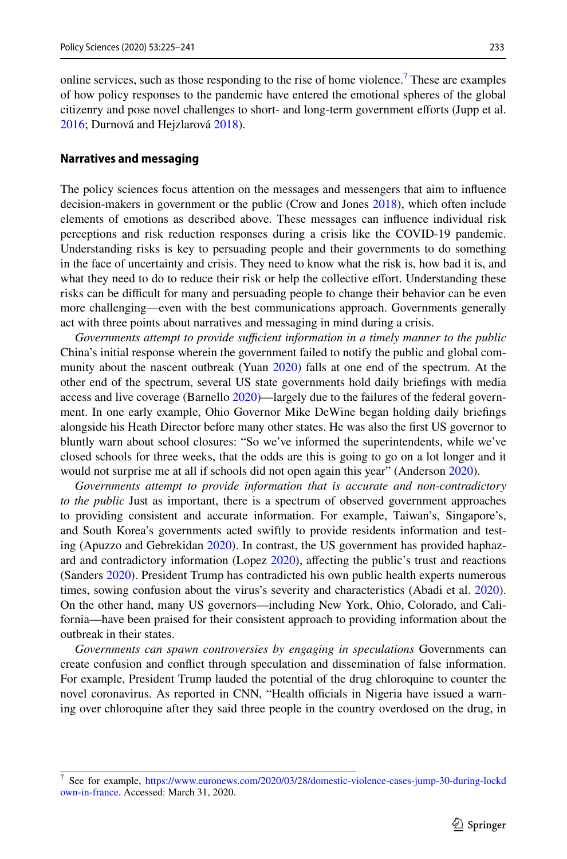online services, such as those responding to the rise of home violence.<sup>[7](#page-8-0)</sup> These are examples of how policy responses to the pandemic have entered the emotional spheres of the global citizenry and pose novel challenges to short- and long-term government eforts (Jupp et al. [2016;](#page-14-16) Durnová and Hejzlarová [2018\)](#page-14-17).

#### **Narratives and messaging**

The policy sciences focus attention on the messages and messengers that aim to infuence decision-makers in government or the public (Crow and Jones [2018\)](#page-14-18), which often include elements of emotions as described above. These messages can infuence individual risk perceptions and risk reduction responses during a crisis like the COVID-19 pandemic. Understanding risks is key to persuading people and their governments to do something in the face of uncertainty and crisis. They need to know what the risk is, how bad it is, and what they need to do to reduce their risk or help the collective effort. Understanding these risks can be difcult for many and persuading people to change their behavior can be even more challenging—even with the best communications approach. Governments generally act with three points about narratives and messaging in mind during a crisis.

Governments attempt to provide sufficient information in a timely manner to the public China's initial response wherein the government failed to notify the public and global community about the nascent outbreak (Yuan [2020\)](#page-16-8) falls at one end of the spectrum. At the other end of the spectrum, several US state governments hold daily briefngs with media access and live coverage (Barnello [2020](#page-14-19))—largely due to the failures of the federal government. In one early example, Ohio Governor Mike DeWine began holding daily briefngs alongside his Heath Director before many other states. He was also the frst US governor to bluntly warn about school closures: "So we've informed the superintendents, while we've closed schools for three weeks, that the odds are this is going to go on a lot longer and it would not surprise me at all if schools did not open again this year" (Anderson [2020\)](#page-13-1).

*Governments attempt to provide information that is accurate and non-contradictory to the public* Just as important, there is a spectrum of observed government approaches to providing consistent and accurate information. For example, Taiwan's, Singapore's, and South Korea's governments acted swiftly to provide residents information and testing (Apuzzo and Gebrekidan [2020\)](#page-13-2). In contrast, the US government has provided haphazard and contradictory information (Lopez [2020](#page-15-16)), afecting the public's trust and reactions (Sanders [2020\)](#page-15-17). President Trump has contradicted his own public health experts numerous times, sowing confusion about the virus's severity and characteristics (Abadi et al. [2020](#page-13-3)). On the other hand, many US governors—including New York, Ohio, Colorado, and California—have been praised for their consistent approach to providing information about the outbreak in their states.

*Governments can spawn controversies by engaging in speculations* Governments can create confusion and confict through speculation and dissemination of false information. For example, President Trump lauded the potential of the drug chloroquine to counter the novel coronavirus. As reported in CNN, "Health officials in Nigeria have issued a warning over chloroquine after they said three people in the country overdosed on the drug, in

<span id="page-8-0"></span>See for example, [https://www.euronews.com/2020/03/28/domestic-violence-cases-jump-30-during-lockd](https://www.euronews.com/2020/03/28/domestic-violence-cases-jump-30-during-lockdown-in-france) [own-in-france.](https://www.euronews.com/2020/03/28/domestic-violence-cases-jump-30-during-lockdown-in-france) Accessed: March 31, 2020.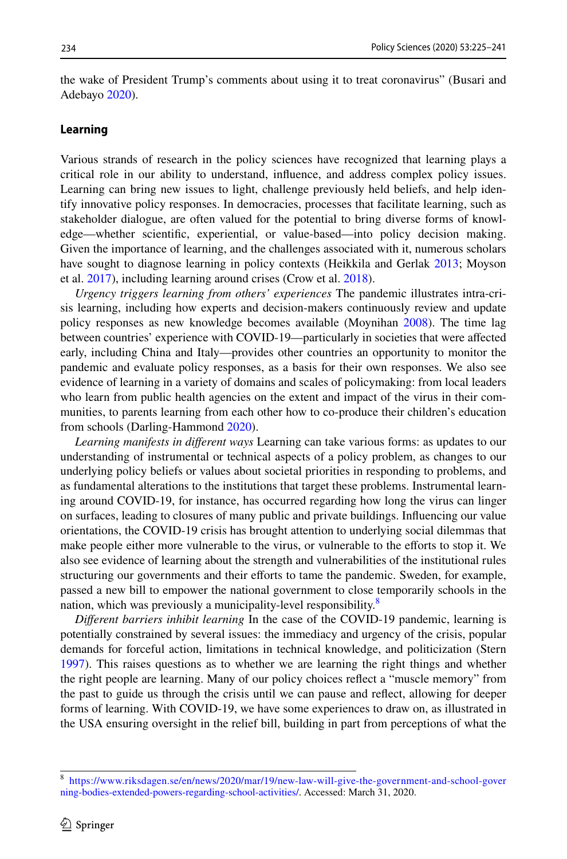the wake of President Trump's comments about using it to treat coronavirus" (Busari and Adebayo [2020\)](#page-14-20).

### **Learning**

Various strands of research in the policy sciences have recognized that learning plays a critical role in our ability to understand, infuence, and address complex policy issues. Learning can bring new issues to light, challenge previously held beliefs, and help identify innovative policy responses. In democracies, processes that facilitate learning, such as stakeholder dialogue, are often valued for the potential to bring diverse forms of knowledge—whether scientifc, experiential, or value-based—into policy decision making. Given the importance of learning, and the challenges associated with it, numerous scholars have sought to diagnose learning in policy contexts (Heikkila and Gerlak [2013;](#page-14-21) Moyson et al. [2017\)](#page-15-18), including learning around crises (Crow et al. [2018](#page-14-22)).

*Urgency triggers learning from others' experiences* The pandemic illustrates intra-crisis learning, including how experts and decision-makers continuously review and update policy responses as new knowledge becomes available (Moynihan [2008\)](#page-15-19). The time lag between countries' experience with COVID-19—particularly in societies that were afected early, including China and Italy—provides other countries an opportunity to monitor the pandemic and evaluate policy responses, as a basis for their own responses. We also see evidence of learning in a variety of domains and scales of policymaking: from local leaders who learn from public health agencies on the extent and impact of the virus in their communities, to parents learning from each other how to co-produce their children's education from schools (Darling-Hammond [2020](#page-14-23)).

*Learning manifests in diferent ways* Learning can take various forms: as updates to our understanding of instrumental or technical aspects of a policy problem, as changes to our underlying policy beliefs or values about societal priorities in responding to problems, and as fundamental alterations to the institutions that target these problems. Instrumental learning around COVID-19, for instance, has occurred regarding how long the virus can linger on surfaces, leading to closures of many public and private buildings. Infuencing our value orientations, the COVID-19 crisis has brought attention to underlying social dilemmas that make people either more vulnerable to the virus, or vulnerable to the eforts to stop it. We also see evidence of learning about the strength and vulnerabilities of the institutional rules structuring our governments and their efforts to tame the pandemic. Sweden, for example, passed a new bill to empower the national government to close temporarily schools in the nation, which was previously a municipality-level responsibility.<sup>8</sup>

*Diferent barriers inhibit learning* In the case of the COVID-19 pandemic, learning is potentially constrained by several issues: the immediacy and urgency of the crisis, popular demands for forceful action, limitations in technical knowledge, and politicization (Stern [1997\)](#page-16-9). This raises questions as to whether we are learning the right things and whether the right people are learning. Many of our policy choices refect a "muscle memory" from the past to guide us through the crisis until we can pause and refect, allowing for deeper forms of learning. With COVID-19, we have some experiences to draw on, as illustrated in the USA ensuring oversight in the relief bill, building in part from perceptions of what the

<span id="page-9-0"></span><sup>8</sup> [https://www.riksdagen.se/en/news/2020/mar/19/new-law-will-give-the-government-and-school-gover](https://www.riksdagen.se/en/news/2020/mar/19/new-law-will-give-the-government-and-school-governing-bodies-extended-powers-regarding-school-activities/) [ning-bodies-extended-powers-regarding-school-activities/.](https://www.riksdagen.se/en/news/2020/mar/19/new-law-will-give-the-government-and-school-governing-bodies-extended-powers-regarding-school-activities/) Accessed: March 31, 2020.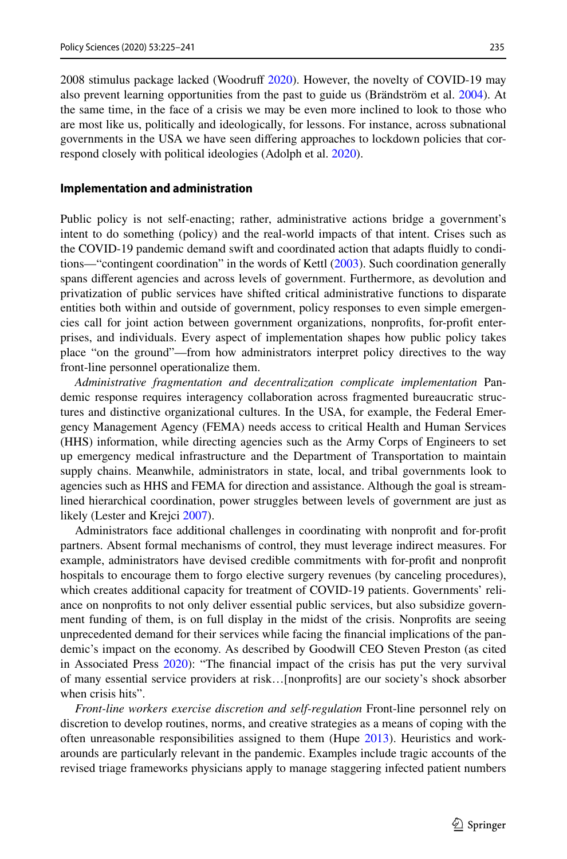2008 stimulus package lacked (Woodruff [2020\)](#page-16-10). However, the novelty of COVID-19 may also prevent learning opportunities from the past to guide us (Brändström et al. [2004\)](#page-14-24). At the same time, in the face of a crisis we may be even more inclined to look to those who are most like us, politically and ideologically, for lessons. For instance, across subnational governments in the USA we have seen difering approaches to lockdown policies that correspond closely with political ideologies (Adolph et al. [2020](#page-13-4)).

#### **Implementation and administration**

Public policy is not self-enacting; rather, administrative actions bridge a government's intent to do something (policy) and the real-world impacts of that intent. Crises such as the COVID-19 pandemic demand swift and coordinated action that adapts fuidly to conditions—"contingent coordination" in the words of Kettl [\(2003](#page-15-20)). Such coordination generally spans diferent agencies and across levels of government. Furthermore, as devolution and privatization of public services have shifted critical administrative functions to disparate entities both within and outside of government, policy responses to even simple emergencies call for joint action between government organizations, nonprofts, for-proft enterprises, and individuals. Every aspect of implementation shapes how public policy takes place "on the ground"—from how administrators interpret policy directives to the way front-line personnel operationalize them.

*Administrative fragmentation and decentralization complicate implementation* Pandemic response requires interagency collaboration across fragmented bureaucratic structures and distinctive organizational cultures. In the USA, for example, the Federal Emergency Management Agency (FEMA) needs access to critical Health and Human Services (HHS) information, while directing agencies such as the Army Corps of Engineers to set up emergency medical infrastructure and the Department of Transportation to maintain supply chains. Meanwhile, administrators in state, local, and tribal governments look to agencies such as HHS and FEMA for direction and assistance. Although the goal is streamlined hierarchical coordination, power struggles between levels of government are just as likely (Lester and Krejci [2007\)](#page-15-21).

Administrators face additional challenges in coordinating with nonproft and for-proft partners. Absent formal mechanisms of control, they must leverage indirect measures. For example, administrators have devised credible commitments with for-proft and nonproft hospitals to encourage them to forgo elective surgery revenues (by canceling procedures), which creates additional capacity for treatment of COVID-19 patients. Governments' reliance on nonprofts to not only deliver essential public services, but also subsidize government funding of them, is on full display in the midst of the crisis. Nonprofts are seeing unprecedented demand for their services while facing the fnancial implications of the pandemic's impact on the economy. As described by Goodwill CEO Steven Preston (as cited in Associated Press [2020\)](#page-13-5): "The fnancial impact of the crisis has put the very survival of many essential service providers at risk…[nonprofts] are our society's shock absorber when crisis hits".

*Front-line workers exercise discretion and self-regulation* Front-line personnel rely on discretion to develop routines, norms, and creative strategies as a means of coping with the often unreasonable responsibilities assigned to them (Hupe [2013\)](#page-14-25). Heuristics and workarounds are particularly relevant in the pandemic. Examples include tragic accounts of the revised triage frameworks physicians apply to manage staggering infected patient numbers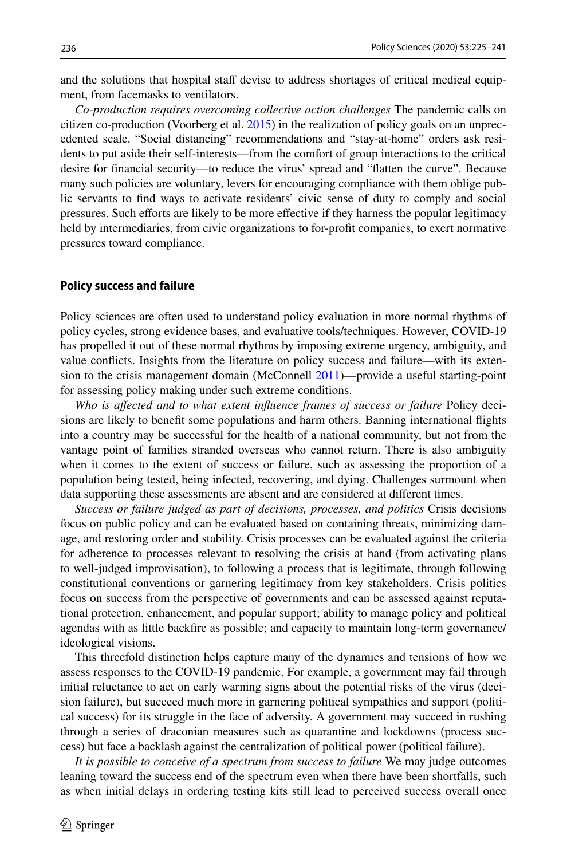and the solutions that hospital staff devise to address shortages of critical medical equipment, from facemasks to ventilators.

*Co-production requires overcoming collective action challenges* The pandemic calls on citizen co-production (Voorberg et al. [2015](#page-16-11)) in the realization of policy goals on an unprecedented scale. "Social distancing" recommendations and "stay-at-home" orders ask residents to put aside their self-interests—from the comfort of group interactions to the critical desire for fnancial security—to reduce the virus' spread and "fatten the curve". Because many such policies are voluntary, levers for encouraging compliance with them oblige public servants to fnd ways to activate residents' civic sense of duty to comply and social pressures. Such efforts are likely to be more effective if they harness the popular legitimacy held by intermediaries, from civic organizations to for-proft companies, to exert normative pressures toward compliance.

#### **Policy success and failure**

Policy sciences are often used to understand policy evaluation in more normal rhythms of policy cycles, strong evidence bases, and evaluative tools/techniques. However, COVID-19 has propelled it out of these normal rhythms by imposing extreme urgency, ambiguity, and value conficts. Insights from the literature on policy success and failure—with its extension to the crisis management domain (McConnell [2011\)](#page-15-22)—provide a useful starting-point for assessing policy making under such extreme conditions.

*Who is afected and to what extent infuence frames of success or failure* Policy decisions are likely to beneft some populations and harm others. Banning international fights into a country may be successful for the health of a national community, but not from the vantage point of families stranded overseas who cannot return. There is also ambiguity when it comes to the extent of success or failure, such as assessing the proportion of a population being tested, being infected, recovering, and dying. Challenges surmount when data supporting these assessments are absent and are considered at diferent times.

*Success or failure judged as part of decisions, processes, and politics* Crisis decisions focus on public policy and can be evaluated based on containing threats, minimizing damage, and restoring order and stability. Crisis processes can be evaluated against the criteria for adherence to processes relevant to resolving the crisis at hand (from activating plans to well-judged improvisation), to following a process that is legitimate, through following constitutional conventions or garnering legitimacy from key stakeholders. Crisis politics focus on success from the perspective of governments and can be assessed against reputational protection, enhancement, and popular support; ability to manage policy and political agendas with as little backfre as possible; and capacity to maintain long-term governance/ ideological visions.

This threefold distinction helps capture many of the dynamics and tensions of how we assess responses to the COVID-19 pandemic. For example, a government may fail through initial reluctance to act on early warning signs about the potential risks of the virus (decision failure), but succeed much more in garnering political sympathies and support (political success) for its struggle in the face of adversity. A government may succeed in rushing through a series of draconian measures such as quarantine and lockdowns (process success) but face a backlash against the centralization of political power (political failure).

*It is possible to conceive of a spectrum from success to failure* We may judge outcomes leaning toward the success end of the spectrum even when there have been shortfalls, such as when initial delays in ordering testing kits still lead to perceived success overall once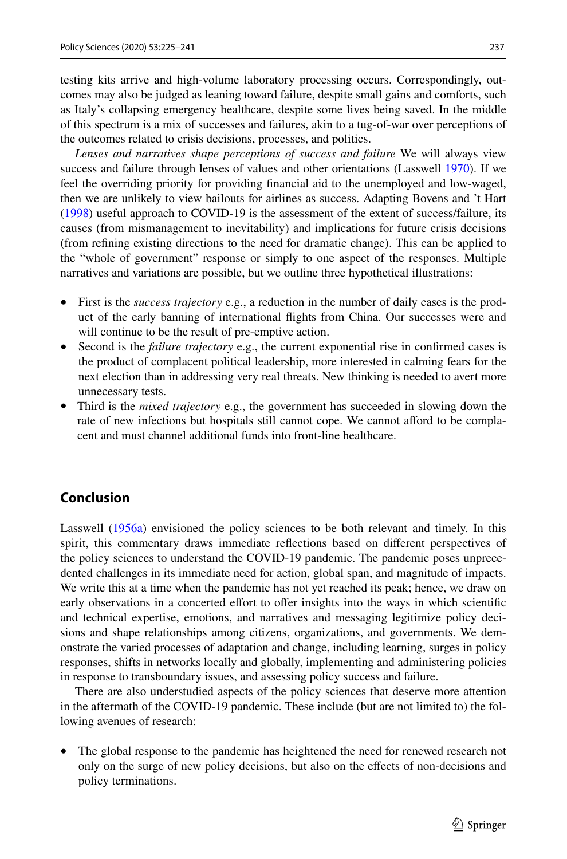testing kits arrive and high-volume laboratory processing occurs. Correspondingly, outcomes may also be judged as leaning toward failure, despite small gains and comforts, such as Italy's collapsing emergency healthcare, despite some lives being saved. In the middle of this spectrum is a mix of successes and failures, akin to a tug-of-war over perceptions of the outcomes related to crisis decisions, processes, and politics.

*Lenses and narratives shape perceptions of success and failure* We will always view success and failure through lenses of values and other orientations (Lasswell [1970](#page-15-23)). If we feel the overriding priority for providing fnancial aid to the unemployed and low-waged, then we are unlikely to view bailouts for airlines as success. Adapting Bovens and 't Hart ([1998\)](#page-14-26) useful approach to COVID-19 is the assessment of the extent of success/failure, its causes (from mismanagement to inevitability) and implications for future crisis decisions (from refning existing directions to the need for dramatic change). This can be applied to the "whole of government" response or simply to one aspect of the responses. Multiple narratives and variations are possible, but we outline three hypothetical illustrations:

- First is the *success trajectory* e.g., a reduction in the number of daily cases is the product of the early banning of international fights from China. Our successes were and will continue to be the result of pre-emptive action.
- Second is the *failure trajectory* e.g., the current exponential rise in confrmed cases is the product of complacent political leadership, more interested in calming fears for the next election than in addressing very real threats. New thinking is needed to avert more unnecessary tests.
- Third is the *mixed trajectory* e.g., the government has succeeded in slowing down the rate of new infections but hospitals still cannot cope. We cannot aford to be complacent and must channel additional funds into front-line healthcare.

# **Conclusion**

Lasswell [\(1956a\)](#page-15-0) envisioned the policy sciences to be both relevant and timely. In this spirit, this commentary draws immediate refections based on diferent perspectives of the policy sciences to understand the COVID-19 pandemic. The pandemic poses unprecedented challenges in its immediate need for action, global span, and magnitude of impacts. We write this at a time when the pandemic has not yet reached its peak; hence, we draw on early observations in a concerted effort to offer insights into the ways in which scientific and technical expertise, emotions, and narratives and messaging legitimize policy decisions and shape relationships among citizens, organizations, and governments. We demonstrate the varied processes of adaptation and change, including learning, surges in policy responses, shifts in networks locally and globally, implementing and administering policies in response to transboundary issues, and assessing policy success and failure.

There are also understudied aspects of the policy sciences that deserve more attention in the aftermath of the COVID-19 pandemic. These include (but are not limited to) the following avenues of research:

The global response to the pandemic has heightened the need for renewed research not only on the surge of new policy decisions, but also on the efects of non-decisions and policy terminations.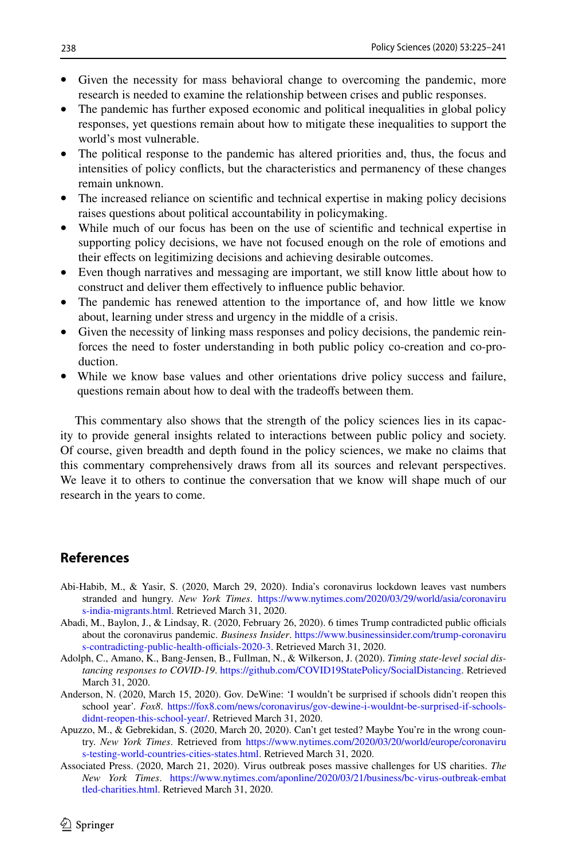- Given the necessity for mass behavioral change to overcoming the pandemic, more research is needed to examine the relationship between crises and public responses.
- The pandemic has further exposed economic and political inequalities in global policy responses, yet questions remain about how to mitigate these inequalities to support the world's most vulnerable.
- The political response to the pandemic has altered priorities and, thus, the focus and intensities of policy conficts, but the characteristics and permanency of these changes remain unknown.
- The increased reliance on scientifc and technical expertise in making policy decisions raises questions about political accountability in policymaking.
- While much of our focus has been on the use of scientific and technical expertise in supporting policy decisions, we have not focused enough on the role of emotions and their effects on legitimizing decisions and achieving desirable outcomes.
- Even though narratives and messaging are important, we still know little about how to construct and deliver them efectively to infuence public behavior.
- The pandemic has renewed attention to the importance of, and how little we know about, learning under stress and urgency in the middle of a crisis.
- Given the necessity of linking mass responses and policy decisions, the pandemic reinforces the need to foster understanding in both public policy co-creation and co-production.
- While we know base values and other orientations drive policy success and failure, questions remain about how to deal with the tradeofs between them.

This commentary also shows that the strength of the policy sciences lies in its capacity to provide general insights related to interactions between public policy and society. Of course, given breadth and depth found in the policy sciences, we make no claims that this commentary comprehensively draws from all its sources and relevant perspectives. We leave it to others to continue the conversation that we know will shape much of our research in the years to come.

## **References**

- <span id="page-13-0"></span>Abi-Habib, M., & Yasir, S. (2020, March 29, 2020). India's coronavirus lockdown leaves vast numbers stranded and hungry. *New York Times*. [https://www.nytimes.com/2020/03/29/world/asia/coronaviru](https://www.nytimes.com/2020/03/29/world/asia/coronavirus-india-migrants.html) [s-india-migrants.html.](https://www.nytimes.com/2020/03/29/world/asia/coronavirus-india-migrants.html) Retrieved March 31, 2020.
- <span id="page-13-3"></span>Abadi, M., Baylon, J., & Lindsay, R. (2020, February 26, 2020). 6 times Trump contradicted public officials about the coronavirus pandemic. *Business Insider*. [https://www.businessinsider.com/trump-coronaviru](https://www.businessinsider.com/trump-coronavirus-contradicting-public-health-officials-2020-3) s-contradicting-public-health-officials-2020-3. Retrieved March 31, 2020.
- <span id="page-13-4"></span>Adolph, C., Amano, K., Bang-Jensen, B., Fullman, N., & Wilkerson, J. (2020). *Timing state-level social distancing responses to COVID-19*. [https://github.com/COVID19StatePolicy/SocialDistancing.](https://github.com/COVID19StatePolicy/SocialDistancing) Retrieved March 31, 2020.
- <span id="page-13-1"></span>Anderson, N. (2020, March 15, 2020). Gov. DeWine: 'I wouldn't be surprised if schools didn't reopen this school year'. *Fox8*. [https://fox8.com/news/coronavirus/gov-dewine-i-wouldnt-be-surprised-if-schools](https://fox8.com/news/coronavirus/gov-dewine-i-wouldnt-be-surprised-if-schools-didnt-reopen-this-school-year/)[didnt-reopen-this-school-year/.](https://fox8.com/news/coronavirus/gov-dewine-i-wouldnt-be-surprised-if-schools-didnt-reopen-this-school-year/) Retrieved March 31, 2020.
- <span id="page-13-2"></span>Apuzzo, M., & Gebrekidan, S. (2020, March 20, 2020). Can't get tested? Maybe You're in the wrong country. *New York Times*. Retrieved from [https://www.nytimes.com/2020/03/20/world/europe/coronaviru](https://www.nytimes.com/2020/03/20/world/europe/coronavirus-testing-world-countries-cities-states.html) [s-testing-world-countries-cities-states.html.](https://www.nytimes.com/2020/03/20/world/europe/coronavirus-testing-world-countries-cities-states.html) Retrieved March 31, 2020.
- <span id="page-13-5"></span>Associated Press. (2020, March 21, 2020). Virus outbreak poses massive challenges for US charities. *The New York Times*. [https://www.nytimes.com/aponline/2020/03/21/business/bc-virus-outbreak-embat](https://www.nytimes.com/aponline/2020/03/21/business/bc-virus-outbreak-embattled-charities.html) [tled-charities.html](https://www.nytimes.com/aponline/2020/03/21/business/bc-virus-outbreak-embattled-charities.html). Retrieved March 31, 2020.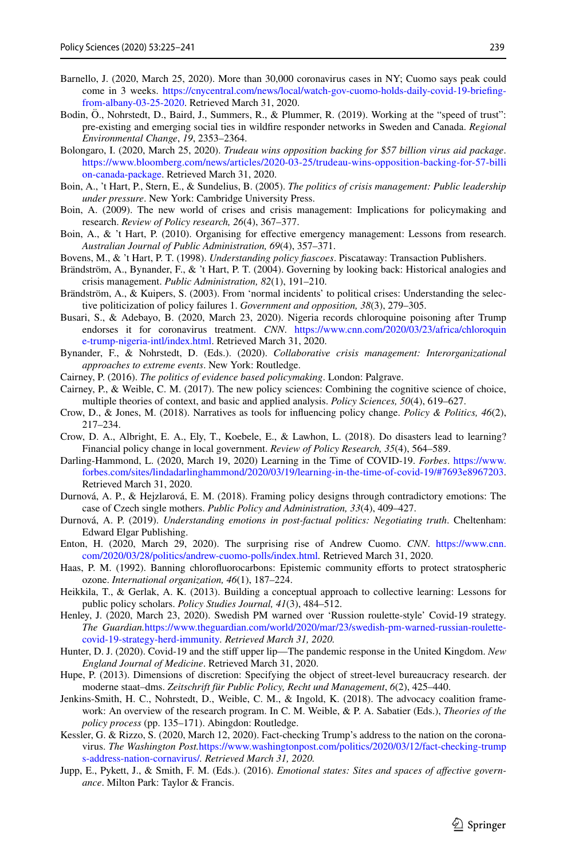- <span id="page-14-19"></span>Barnello, J. (2020, March 25, 2020). More than 30,000 coronavirus cases in NY; Cuomo says peak could come in 3 weeks. [https://cnycentral.com/news/local/watch-gov-cuomo-holds-daily-covid-19-briefing](https://cnycentral.com/news/local/watch-gov-cuomo-holds-daily-covid-19-briefing-from-albany-03-25-2020)[from-albany-03-25-2020.](https://cnycentral.com/news/local/watch-gov-cuomo-holds-daily-covid-19-briefing-from-albany-03-25-2020) Retrieved March 31, 2020.
- <span id="page-14-10"></span>Bodin, Ö., Nohrstedt, D., Baird, J., Summers, R., & Plummer, R. (2019). Working at the "speed of trust": pre-existing and emerging social ties in wildfre responder networks in Sweden and Canada. *Regional Environmental Change*, *19*, 2353–2364.
- <span id="page-14-2"></span>Bolongaro, I. (2020, March 25, 2020). *Trudeau wins opposition backing for \$57 billion virus aid package*. [https://www.bloomberg.com/news/articles/2020-03-25/trudeau-wins-opposition-backing-for-57-billi](https://www.bloomberg.com/news/articles/2020-03-25/trudeau-wins-opposition-backing-for-57-billion-canada-package) [on-canada-package](https://www.bloomberg.com/news/articles/2020-03-25/trudeau-wins-opposition-backing-for-57-billion-canada-package). Retrieved March 31, 2020.
- <span id="page-14-3"></span>Boin, A., 't Hart, P., Stern, E., & Sundelius, B. (2005). *The politics of crisis management: Public leadership under pressure*. New York: Cambridge University Press.
- <span id="page-14-7"></span>Boin, A. (2009). The new world of crises and crisis management: Implications for policymaking and research. *Review of Policy research, 26*(4), 367–377.
- <span id="page-14-4"></span>Boin, A., & 't Hart, P. (2010). Organising for efective emergency management: Lessons from research. *Australian Journal of Public Administration, 69*(4), 357–371.
- <span id="page-14-26"></span>Bovens, M., & 't Hart, P. T. (1998). *Understanding policy fascoes*. Piscataway: Transaction Publishers.
- <span id="page-14-24"></span>Brändström, A., Bynander, F., & 't Hart, P. T. (2004). Governing by looking back: Historical analogies and crisis management. *Public Administration, 82*(1), 191–210.
- <span id="page-14-5"></span>Brändström, A., & Kuipers, S. (2003). From 'normal incidents' to political crises: Understanding the selective politicization of policy failures 1. *Government and opposition, 38*(3), 279–305.
- <span id="page-14-20"></span>Busari, S., & Adebayo, B. (2020, March 23, 2020). Nigeria records chloroquine poisoning after Trump endorses it for coronavirus treatment. *CNN*. [https://www.cnn.com/2020/03/23/africa/chloroquin](https://www.cnn.com/2020/03/23/africa/chloroquine-trump-nigeria-intl/index.html) [e-trump-nigeria-intl/index.html](https://www.cnn.com/2020/03/23/africa/chloroquine-trump-nigeria-intl/index.html). Retrieved March 31, 2020.
- <span id="page-14-8"></span>Bynander, F., & Nohrstedt, D. (Eds.). (2020). *Collaborative crisis management: Interorganizational approaches to extreme events*. New York: Routledge.
- <span id="page-14-12"></span>Cairney, P. (2016). *The politics of evidence based policymaking*. London: Palgrave.
- <span id="page-14-0"></span>Cairney, P., & Weible, C. M. (2017). The new policy sciences: Combining the cognitive science of choice, multiple theories of context, and basic and applied analysis. *Policy Sciences, 50*(4), 619–627.
- <span id="page-14-18"></span>Crow, D., & Jones, M. (2018). Narratives as tools for infuencing policy change. *Policy & Politics, 46*(2), 217–234.
- <span id="page-14-22"></span>Crow, D. A., Albright, E. A., Ely, T., Koebele, E., & Lawhon, L. (2018). Do disasters lead to learning? Financial policy change in local government. *Review of Policy Research, 35*(4), 564–589.
- <span id="page-14-23"></span>Darling-Hammond, L. (2020, March 19, 2020) Learning in the Time of COVID-19. *Forbes*. [https://www.](https://www.forbes.com/sites/lindadarlinghammond/2020/03/19/learning-in-the-time-of-covid-19/#7693e8967203) [forbes.com/sites/lindadarlinghammond/2020/03/19/learning-in-the-time-of-covid-19/#7693e8967203.](https://www.forbes.com/sites/lindadarlinghammond/2020/03/19/learning-in-the-time-of-covid-19/#7693e8967203) Retrieved March 31, 2020.
- <span id="page-14-17"></span>Durnová, A. P., & Hejzlarová, E. M. (2018). Framing policy designs through contradictory emotions: The case of Czech single mothers. *Public Policy and Administration, 33*(4), 409–427.
- <span id="page-14-14"></span>Durnová, A. P. (2019). *Understanding emotions in post-factual politics: Negotiating truth*. Cheltenham: Edward Elgar Publishing.
- <span id="page-14-11"></span>Enton, H. (2020, March 29, 2020). The surprising rise of Andrew Cuomo. *CNN*. [https://www.cnn.](https://www.cnn.com/2020/03/28/politics/andrew-cuomo-polls/index.html) [com/2020/03/28/politics/andrew-cuomo-polls/index.html](https://www.cnn.com/2020/03/28/politics/andrew-cuomo-polls/index.html)*.* Retrieved March 31, 2020.
- <span id="page-14-13"></span>Haas, P. M. (1992). Banning chlorofuorocarbons: Epistemic community eforts to protect stratospheric ozone. *International organization, 46*(1), 187–224.
- <span id="page-14-21"></span>Heikkila, T., & Gerlak, A. K. (2013). Building a conceptual approach to collective learning: Lessons for public policy scholars. *Policy Studies Journal, 41*(3), 484–512.
- <span id="page-14-6"></span>Henley, J. (2020, March 23, 2020). Swedish PM warned over 'Russion roulette-style' Covid-19 strategy. *The Guardian.*[https://www.theguardian.com/world/2020/mar/23/swedish-pm-warned-russian-roulette](https://www.theguardian.com/world/2020/mar/23/swedish-pm-warned-russian-roulette-covid-19-strategy-herd-immunity)[covid-19-strategy-herd-immunity](https://www.theguardian.com/world/2020/mar/23/swedish-pm-warned-russian-roulette-covid-19-strategy-herd-immunity)*. Retrieved March 31, 2020.*
- <span id="page-14-1"></span>Hunter, D. J. (2020). Covid-19 and the stif upper lip—The pandemic response in the United Kingdom. *New England Journal of Medicine*. Retrieved March 31, 2020.
- <span id="page-14-25"></span>Hupe, P. (2013). Dimensions of discretion: Specifying the object of street-level bureaucracy research. der moderne staat–dms. *Zeitschrift für Public Policy, Recht und Management*, *6*(2), 425–440.
- <span id="page-14-9"></span>Jenkins-Smith, H. C., Nohrstedt, D., Weible, C. M., & Ingold, K. (2018). The advocacy coalition framework: An overview of the research program. In C. M. Weible, & P. A. Sabatier (Eds.), *Theories of the policy process* (pp. 135–171). Abingdon: Routledge.
- <span id="page-14-15"></span>Kessler, G. & Rizzo, S. (2020, March 12, 2020). Fact-checking Trump's address to the nation on the coronavirus. *The Washington Post.*[https://www.washingtonpost.com/politics/2020/03/12/fact-checking-trump](https://www.washingtonpost.com/politics/2020/03/12/fact-checking-trumps-address-nation-cornavirus/) [s-address-nation-cornavirus/](https://www.washingtonpost.com/politics/2020/03/12/fact-checking-trumps-address-nation-cornavirus/)*. Retrieved March 31, 2020.*
- <span id="page-14-16"></span>Jupp, E., Pykett, J., & Smith, F. M. (Eds.). (2016). *Emotional states: Sites and spaces of afective governance*. Milton Park: Taylor & Francis.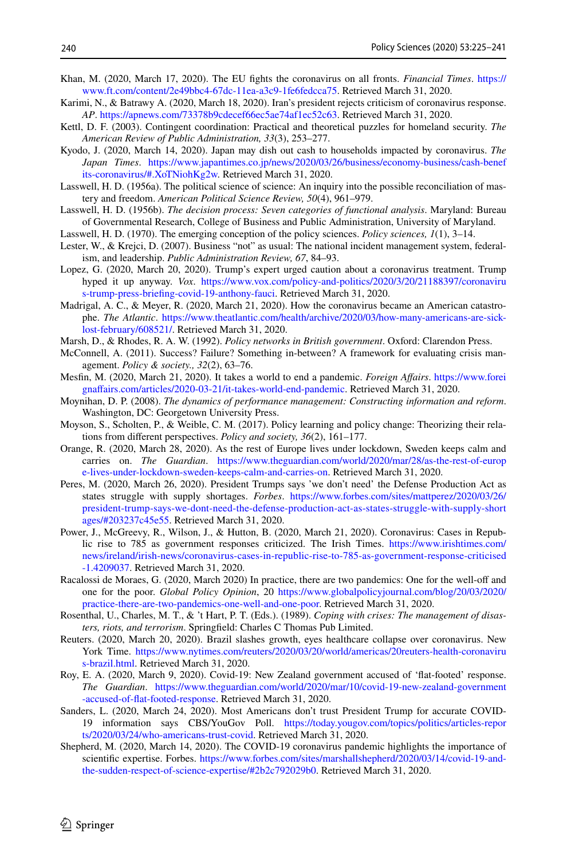- <span id="page-15-11"></span>Khan, M. (2020, March 17, 2020). The EU fghts the coronavirus on all fronts. *Financial Times*. [https://](https://www.ft.com/content/2e49bbc4-67dc-11ea-a3c9-1fe6fedcca75) [www.ft.com/content/2e49bbc4-67dc-11ea-a3c9-1fe6fedcca75](https://www.ft.com/content/2e49bbc4-67dc-11ea-a3c9-1fe6fedcca75). Retrieved March 31, 2020.
- <span id="page-15-9"></span>Karimi, N., & Batrawy A. (2020, March 18, 2020). Iran's president rejects criticism of coronavirus response. *AP*. <https://apnews.com/73378b9cdecef66ec5ae74af1ec52c63>. Retrieved March 31, 2020.
- <span id="page-15-20"></span>Kettl, D. F. (2003). Contingent coordination: Practical and theoretical puzzles for homeland security. *The American Review of Public Administration, 33*(3), 253–277.
- <span id="page-15-2"></span>Kyodo, J. (2020, March 14, 2020). Japan may dish out cash to households impacted by coronavirus. *The Japan Times*. [https://www.japantimes.co.jp/news/2020/03/26/business/economy-business/cash-benef](https://www.japantimes.co.jp/news/2020/03/26/business/economy-business/cash-benefits-coronavirus/#.XoTNiohKg2w) [its-coronavirus/#.XoTNiohKg2w.](https://www.japantimes.co.jp/news/2020/03/26/business/economy-business/cash-benefits-coronavirus/#.XoTNiohKg2w) Retrieved March 31, 2020.
- <span id="page-15-0"></span>Lasswell, H. D. (1956a). The political science of science: An inquiry into the possible reconciliation of mastery and freedom. *American Political Science Review, 50*(4), 961–979.
- <span id="page-15-1"></span>Lasswell, H. D. (1956b). *The decision process: Seven categories of functional analysis*. Maryland: Bureau of Governmental Research, College of Business and Public Administration, University of Maryland.
- <span id="page-15-23"></span>Lasswell, H. D. (1970). The emerging conception of the policy sciences. *Policy sciences, 1*(1), 3–14.
- <span id="page-15-21"></span>Lester, W., & Krejci, D. (2007). Business "not" as usual: The national incident management system, federalism, and leadership. *Public Administration Review, 67*, 84–93.
- <span id="page-15-16"></span>Lopez, G. (2020, March 20, 2020). Trump's expert urged caution about a coronavirus treatment. Trump hyped it up anyway. *Vox*. [https://www.vox.com/policy-and-politics/2020/3/20/21188397/coronaviru](https://www.vox.com/policy-and-politics/2020/3/20/21188397/coronavirus-trump-press-briefing-covid-19-anthony-fauci) [s-trump-press-briefing-covid-19-anthony-fauci](https://www.vox.com/policy-and-politics/2020/3/20/21188397/coronavirus-trump-press-briefing-covid-19-anthony-fauci). Retrieved March 31, 2020.
- <span id="page-15-3"></span>Madrigal, A. C., & Meyer, R. (2020, March 21, 2020). How the coronavirus became an American catastrophe. *The Atlantic*. [https://www.theatlantic.com/health/archive/2020/03/how-many-americans-are-sick](https://www.theatlantic.com/health/archive/2020/03/how-many-americans-are-sick-lost-february/608521/)[lost-february/608521/.](https://www.theatlantic.com/health/archive/2020/03/how-many-americans-are-sick-lost-february/608521/) Retrieved March 31, 2020.
- <span id="page-15-13"></span>Marsh, D., & Rhodes, R. A. W. (1992). *Policy networks in British government*. Oxford: Clarendon Press.
- <span id="page-15-22"></span>McConnell, A. (2011). Success? Failure? Something in-between? A framework for evaluating crisis management. *Policy & society., 32*(2), 63–76.
- <span id="page-15-10"></span>Mesfn, M. (2020, March 21, 2020). It takes a world to end a pandemic. *Foreign Afairs*. [https://www.forei](https://www.foreignaffairs.com/articles/2020-03-21/it-takes-world-end-pandemic) [gnafairs.com/articles/2020-03-21/it-takes-world-end-pandemic](https://www.foreignaffairs.com/articles/2020-03-21/it-takes-world-end-pandemic). Retrieved March 31, 2020.
- <span id="page-15-19"></span>Moynihan, D. P. (2008). *The dynamics of performance management: Constructing information and reform*. Washington, DC: Georgetown University Press.
- <span id="page-15-18"></span>Moyson, S., Scholten, P., & Weible, C. M. (2017). Policy learning and policy change: Theorizing their relations from diferent perspectives. *Policy and society, 36*(2), 161–177.
- <span id="page-15-15"></span>Orange, R. (2020, March 28, 2020). As the rest of Europe lives under lockdown, Sweden keeps calm and carries on. *The Guardian*. [https://www.theguardian.com/world/2020/mar/28/as-the-rest-of-europ](https://www.theguardian.com/world/2020/mar/28/as-the-rest-of-europe-lives-under-lockdown-sweden-keeps-calm-and-carries-on) [e-lives-under-lockdown-sweden-keeps-calm-and-carries-on](https://www.theguardian.com/world/2020/mar/28/as-the-rest-of-europe-lives-under-lockdown-sweden-keeps-calm-and-carries-on). Retrieved March 31, 2020.
- <span id="page-15-4"></span>Peres, M. (2020, March 26, 2020). President Trumps says 'we don't need' the Defense Production Act as states struggle with supply shortages. *Forbes*. [https://www.forbes.com/sites/mattperez/2020/03/26/](https://www.forbes.com/sites/mattperez/2020/03/26/president-trump-says-we-dont-need-the-defense-production-act-as-states-struggle-with-supply-shortages/#203237c45e55) [president-trump-says-we-dont-need-the-defense-production-act-as-states-struggle-with-supply-short](https://www.forbes.com/sites/mattperez/2020/03/26/president-trump-says-we-dont-need-the-defense-production-act-as-states-struggle-with-supply-shortages/#203237c45e55) [ages/#203237c45e55](https://www.forbes.com/sites/mattperez/2020/03/26/president-trump-says-we-dont-need-the-defense-production-act-as-states-struggle-with-supply-shortages/#203237c45e55). Retrieved March 31, 2020.
- <span id="page-15-8"></span>Power, J., McGreevy, R., Wilson, J., & Hutton, B. (2020, March 21, 2020). Coronavirus: Cases in Republic rise to 785 as government responses criticized. The Irish Times. [https://www.irishtimes.com/](https://www.irishtimes.com/news/ireland/irish-news/coronavirus-cases-in-republic-rise-to-785-as-government-response-criticised-1.4209037) [news/ireland/irish-news/coronavirus-cases-in-republic-rise-to-785-as-government-response-criticised](https://www.irishtimes.com/news/ireland/irish-news/coronavirus-cases-in-republic-rise-to-785-as-government-response-criticised-1.4209037) [-1.4209037](https://www.irishtimes.com/news/ireland/irish-news/coronavirus-cases-in-republic-rise-to-785-as-government-response-criticised-1.4209037). Retrieved March 31, 2020.
- <span id="page-15-12"></span>Racalossi de Moraes, G. (2020, March 2020) In practice, there are two pandemics: One for the well-of and one for the poor. *Global Policy Opinion*, 20 [https://www.globalpolicyjournal.com/blog/20/03/2020/](https://www.globalpolicyjournal.com/blog/20/03/2020/practice-there-are-two-pandemics-one-well-and-one-poor) [practice-there-are-two-pandemics-one-well-and-one-poor](https://www.globalpolicyjournal.com/blog/20/03/2020/practice-there-are-two-pandemics-one-well-and-one-poor). Retrieved March 31, 2020.
- <span id="page-15-5"></span>Rosenthal, U., Charles, M. T., & 't Hart, P. T. (Eds.). (1989). *Coping with crises: The management of disasters, riots, and terrorism*. Springfeld: Charles C Thomas Pub Limited.
- <span id="page-15-6"></span>Reuters. (2020, March 20, 2020). Brazil slashes growth, eyes healthcare collapse over coronavirus. New York Time. [https://www.nytimes.com/reuters/2020/03/20/world/americas/20reuters-health-coronaviru](https://www.nytimes.com/reuters/2020/03/20/world/americas/20reuters-health-coronavirus-brazil.html) [s-brazil.html](https://www.nytimes.com/reuters/2020/03/20/world/americas/20reuters-health-coronavirus-brazil.html). Retrieved March 31, 2020.
- <span id="page-15-7"></span>Roy, E. A. (2020, March 9, 2020). Covid-19: New Zealand government accused of 'fat-footed' response. *The Guardian*. [https://www.theguardian.com/world/2020/mar/10/covid-19-new-zealand-government](https://www.theguardian.com/world/2020/mar/10/covid-19-new-zealand-government-accused-of-flat-footed-response) [-accused-of-fat-footed-response](https://www.theguardian.com/world/2020/mar/10/covid-19-new-zealand-government-accused-of-flat-footed-response). Retrieved March 31, 2020.
- <span id="page-15-17"></span>Sanders, L. (2020, March 24, 2020). Most Americans don't trust President Trump for accurate COVID-19 information says CBS/YouGov Poll. [https://today.yougov.com/topics/politics/articles-repor](https://today.yougov.com/topics/politics/articles-reports/2020/03/24/who-americans-trust-covid) [ts/2020/03/24/who-americans-trust-covid](https://today.yougov.com/topics/politics/articles-reports/2020/03/24/who-americans-trust-covid). Retrieved March 31, 2020.
- <span id="page-15-14"></span>Shepherd, M. (2020, March 14, 2020). The COVID-19 coronavirus pandemic highlights the importance of scientifc expertise. Forbes. [https://www.forbes.com/sites/marshallshepherd/2020/03/14/covid-19-and](https://www.forbes.com/sites/marshallshepherd/2020/03/14/covid-19-and-the-sudden-respect-of-science-expertise/#2b2c792029b0)[the-sudden-respect-of-science-expertise/#2b2c792029b0](https://www.forbes.com/sites/marshallshepherd/2020/03/14/covid-19-and-the-sudden-respect-of-science-expertise/#2b2c792029b0). Retrieved March 31, 2020.